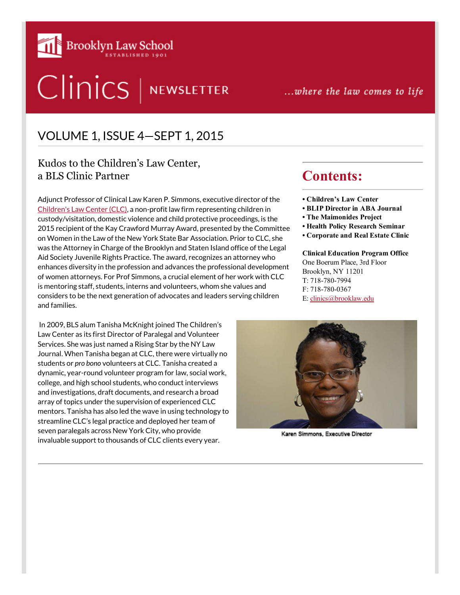

# Clinics | NEWSLETTER

...where the law comes to life

## VOLUME 1, ISSUE 4—SEPT 1, 2015

#### Kudos to the Children's Law Center, a BLS Clinic Partner

Adjunct Professor of Clinical Law Karen P. Simmons, executive director of the [Children's Law Center \(CLC\)](https://www.brooklaw.edu/academics/curriculum/coursedescriptions/course?id=L_018), a non-profit law firm representing children in custody/visitation, domestic violence and child protective proceedings, is the 2015 recipient of the Kay Crawford Murray Award, presented by the Committee on Women in the Law of the New York State Bar Association. Prior to CLC, she was the Attorney in Charge of the Brooklyn and Staten Island office of the Legal Aid Society Juvenile Rights Practice. The award, recognizes an attorney who enhances diversity in the profession and advances the professional development of women attorneys. For Prof Simmons, a crucial element of her work with CLC is mentoring staff, students, interns and volunteers, whom she values and considers to be the next generation of advocates and leaders serving children and families.

 In 2009, BLS alum Tanisha McKnight joined The Children's Law Center as its first Director of Paralegal and Volunteer Services. She was just named a Rising Star by the NY Law Journal. When Tanisha began at CLC, there were virtually no students or *pro bono* volunteers at CLC. Tanisha created a dynamic, year-round volunteer program for law, social work, college, and high school students, who conduct interviews and investigations, draft documents, and research a broad array of topics under the supervision of experienced CLC mentors. Tanisha has also led the wave in using technology to streamline CLC's legal practice and deployed her team of seven paralegals across New York City, who provide invaluable support to thousands of CLC clients every year.

## Contents:

- Children's Law Center
- BLIP Director in ABA Journal
- The Maimonides Project
- Health Policy Research Seminar
- Corporate and Real Estate Clinic

Clinical Education Program Office One Boerum Place, 3rd Floor Brooklyn, NY 11201 T: 718-780-7994 F: 718-780-0367 E: [clinics@brooklaw.edu](mailto:clinics@brooklaw.edu)



Karen Simmons, Executive Director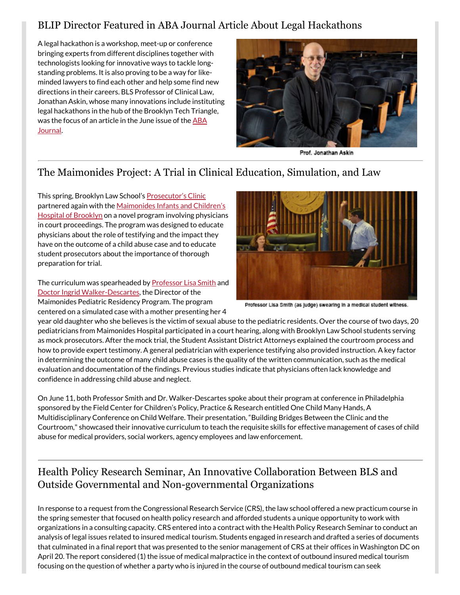#### BLIP Director Featured in ABA Journal Article About Legal Hackathons

A legal hackathon is a workshop, meet-up or conference bringing experts from different disciplines together with technologists looking for innovative ways to tackle longstanding problems. It is also proving to be a way for likeminded lawyers to find each other and help some find new directions in their careers. BLS Professor of Clinical Law, Jonathan Askin, whose many innovations include instituting [legal hackathons in the hub of the Brooklyn Tech Trian](http://www.abajournal.com/magazine/article/hackathon_movement_may_jump_start_a_legal_career)gle, was the focus of an article in the June issue of the ABA Journal.



Prof. Jonathan Askin

### The Maimonides Project: A Trial in Clinical Education, Simulation, and Law

This spring, Brooklyn Law School's [Prosecutor's Clinic](http://www.brooklaw.edu/academics/curriculum/coursedescriptions/course.aspx?id=L_345) [partnered again with the Maimonides Infants and Children's](http://www.maimonidesmed.org/Pediatrics/MICH.aspx) Hospital of Brooklyn on a novel program involving physicians in court proceedings. The program was designed to educate physicians about the role of testifying and the impact they have on the outcome of a child abuse case and to educate student prosecutors about the importance of thorough preparation for trial.

The curriculum was spearheaded by **Professor Lisa Smith** and [Doctor Ingrid Walker-Descartes,](http://www.maimonidesmed.org/Main/PhysiciansDirectory/303.aspx) the Director of the Maimonides Pediatric Residency Program. The program centered on a simulated case with a mother presenting her 4



Professor Lisa Smith (as judge) swearing in a medical student witness.

year old daughter who she believes is the victim of sexual abuse to the pediatric residents. Over the course of two days, 20 pediatricians from Maimonides Hospital participated in a court hearing, along with Brooklyn Law School students serving as mock prosecutors. After the mock trial, the Student Assistant District Attorneys explained the courtroom process and how to provide expert testimony. A general pediatrician with experience testifying also provided instruction. A key factor in determining the outcome of many child abuse cases is the quality of the written communication, such as the medical evaluation and documentation of the findings. Previous studies indicate that physicians often lack knowledge and confidence in addressing child abuse and neglect.

On June 11, both Professor Smith and Dr. Walker-Descartes spoke about their program at conference in Philadelphia sponsored by the Field Center for Children's Policy, Practice & Research entitled One Child Many Hands, A Multidisciplinary Conference on Child Welfare. Their presentation, "Building Bridges Between the Clinic and the Courtroom," showcased their innovative curriculum to teach the requisite skills for effective management of cases of child abuse for medical providers, social workers, agency employees and law enforcement.

#### Health Policy Research Seminar, An Innovative Collaboration Between BLS and Outside Governmental and Non-governmental Organizations

In response to a request from the Congressional Research Service (CRS), the law school offered a new practicum course in the spring semester that focused on health policy research and afforded students a unique opportunity to work with organizations in a consulting capacity. CRS entered into a contract with the Health Policy Research Seminar to conduct an analysis of legal issues related to insured medical tourism. Students engaged in research and drafted a series of documents that culminated in a final report that was presented to the senior management of CRS at their offices in Washington DC on April 20. The report considered (1) the issue of medical malpractice in the context of outbound insured medical tourism focusing on the question of whether a party who is injured in the course of outbound medical tourism can seek